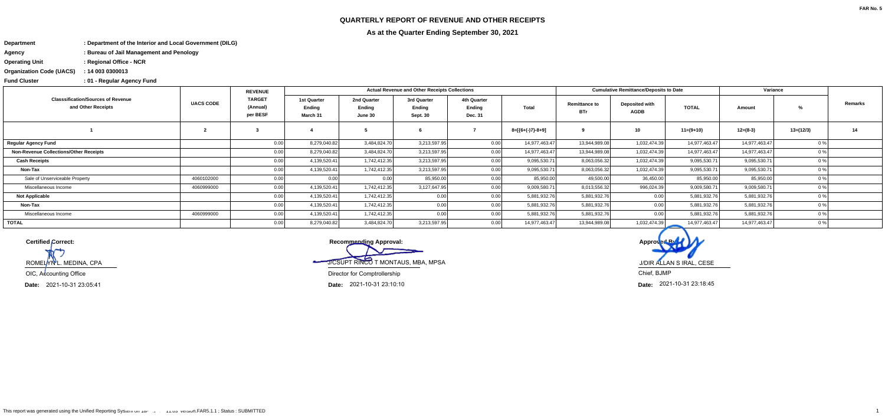## **QUARTERLY REPORT OF REVENUE AND OTHER RECEIPTS**



**As at the Quarter Ending September 30, 2021**

**Fund Cluster**

**DepartmentDepartment of the Interior and Local Government (DILG):**

- **AgencyBureau of Jail Management and Penology:**
- **Operating UnitRegional Office - NCR:**

**Organization Code (UACS)14 003 0300013:**

**01 - Regular Agency Fund :**

**Recommending Approval:** J/CSUPT RINCO T MONTAUS, MBA, MPSADirector for Comptrollership

| <b>Classsification/Sources of Revenue</b><br>and Other Receipts | <b>UACS CODE</b> | <b>REVENUE</b>                        | <b>Actual Revenue and Other Receipts Collections</b> |                                  |                                                 |                                         |                  |                                    | <b>Cumulative Remittance/Deposits to Date</b> |               | Variance      |                |         |
|-----------------------------------------------------------------|------------------|---------------------------------------|------------------------------------------------------|----------------------------------|-------------------------------------------------|-----------------------------------------|------------------|------------------------------------|-----------------------------------------------|---------------|---------------|----------------|---------|
|                                                                 |                  | <b>TARGET</b><br>(Annual)<br>per BESF | 1st Quarter<br>Ending<br>March 31                    | 2nd Quarter<br>Endina<br>June 30 | 3rd Quarter<br><b>Ending</b><br><b>Sept. 30</b> | 4th Quarter<br>Ending<br><b>Dec. 31</b> | <b>Total</b>     | <b>Remittance to</b><br><b>BTr</b> | <b>Deposited with</b><br><b>AGDB</b>          | <b>TOTAL</b>  | Amount        |                | Remarks |
|                                                                 |                  |                                       |                                                      |                                  |                                                 |                                         | 8=[{6+(-)7}-8+9] |                                    | 10                                            | $11=(9+10)$   | $12=(8-3)$    | $13=(12/3)$    | 14      |
| <b>Regular Agency Fund</b>                                      |                  | 0.00                                  | 8,279,040.82                                         | 3,484,824.70                     | 3,213,597.95                                    | 0.00                                    | 14,977,463.47    | 13,944,989.08                      | 1,032,474.39                                  | 14,977,463.47 | 14,977,463.47 |                |         |
| <b>Non-Revenue Collections/Other Receipts</b>                   |                  | 0.00                                  | 8,279,040.82                                         | 3,484,824.70                     | 3,213,597.95                                    | 0.00                                    | 14,977,463.47    | 13,944,989.08                      | 1,032,474.39                                  | 14,977,463.47 | 14,977,463.47 | 0 <sup>o</sup> |         |
| <b>Cash Receipts</b>                                            |                  | 0.00                                  | 4,139,520.41                                         | 1,742,412.35                     | 3,213,597.95                                    | 0.00                                    | 9,095,530.71     | 8,063,056.32                       | 1,032,474.39                                  | 9,095,530.71  | 9,095,530.71  | 0 <sup>o</sup> |         |
| Non-Tax                                                         |                  | 0.00                                  | 4,139,520.41                                         | 1,742,412.35                     | 3,213,597.95                                    | 0.00                                    | 9,095,530.71     | 8,063,056.32                       | 1,032,474.39                                  | 9,095,530.71  | 9,095,530.71  | 0 <sup>9</sup> |         |
| Sale of Unserviceable Property                                  | 4060102000       | 0.00                                  | 0.00                                                 | 0.00                             | 85,950.00                                       | 0.00                                    | 85,950.00        | 49,500.00                          | 36,450.00                                     | 85,950.00     | 85,950.00     | 0 <sup>o</sup> |         |
| Miscellaneous Income                                            | 4060999000       | 0.00                                  | 4,139,520.41                                         | 1,742,412.35                     | 3,127,647.95                                    | 0.00                                    | 9,009,580.71     | 8,013,556.32                       | 996,024.39                                    | 9,009,580.71  | 9,009,580.71  |                |         |
| <b>Not Applicable</b>                                           |                  | 0.00                                  | 4,139,520.41                                         | 1,742,412.35                     | 0.00                                            | 0.00                                    | 5,881,932.76     | 5,881,932.76                       | 0.00                                          | 5,881,932.76  | 5,881,932.76  | $^{\circ}$     |         |
| Non-Tax                                                         |                  | 0.00                                  | 4,139,520.41                                         | 1,742,412.35                     | 0.00                                            | 0.00                                    | 5,881,932.76     | 5,881,932.76                       | 0.00                                          | 5,881,932.76  | 5,881,932.76  | 0 <sup>o</sup> |         |
| Miscellaneous Income                                            | 4060999000       | 0.00                                  | 4,139,520.41                                         | 1,742,412.35                     | 0.001                                           | 0.00                                    | 5,881,932.76     | 5,881,932.76                       | 0.00                                          | 5,881,932.76  | 5,881,932.76  |                |         |
| <b>TOTAL</b>                                                    |                  | 0.00                                  | 8,279,040.82                                         | 3,484,824.70                     | 3,213,597.95                                    | 0.00                                    | 14,977,463.47    | 13,944,989.08                      | 1,032,474.39                                  | 14,977,463.47 | 14,977,463.47 | 0 <sup>o</sup> |         |

**Certified Correct:**

ROMELYNL. MEDINA, CPA

OIC, Accounting Office

**Date: Date:** 2021-10-31 23:10:10

**Date:**2021-10-31 23:05:41

J/DIR ALLAN S IRAL, CESE

Chief, BJMP

2021-10-31 23:18:45